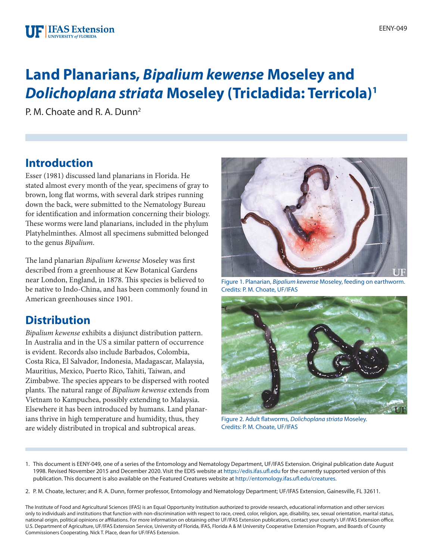# **Land Planarians,** *Bipalium kewense* **Moseley and**  *Dolichoplana striata* **Moseley (Tricladida: Terricola)1**

P. M. Choate and R. A. Dunn<sup>2</sup>

# **Introduction**

Esser (1981) discussed land planarians in Florida. He stated almost every month of the year, specimens of gray to brown, long flat worms, with several dark stripes running down the back, were submitted to the Nematology Bureau for identification and information concerning their biology. These worms were land planarians, included in the phylum Platyhelminthes. Almost all specimens submitted belonged to the genus *Bipalium*.

The land planarian *Bipalium kewense* Moseley was first described from a greenhouse at Kew Botanical Gardens near London, England, in 1878. This species is believed to be native to Indo-China, and has been commonly found in American greenhouses since 1901.

# **Distribution**

*Bipalium kewense* exhibits a disjunct distribution pattern. In Australia and in the US a similar pattern of occurrence is evident. Records also include Barbados, Colombia, Costa Rica, El Salvador, Indonesia, Madagascar, Malaysia, Mauritius, Mexico, Puerto Rico, Tahiti, Taiwan, and Zimbabwe. The species appears to be dispersed with rooted plants. The natural range of *Bipalium kewense* extends from Vietnam to Kampuchea, possibly extending to Malaysia. Elsewhere it has been introduced by humans. Land planarians thrive in high temperature and humidity, thus, they are widely distributed in tropical and subtropical areas.



Figure 1. Planarian, *Bipalium kewense* Moseley, feeding on earthworm. Credits: P. M. Choate, UF/IFAS



Figure 2. Adult flatworms, *Dolichoplana striata* Moseley. Credits: P. M. Choate, UF/IFAS

- 1. This document is EENY-049, one of a series of the Entomology and Nematology Department, UF/IFAS Extension. Original publication date August 1998. Revised November 2015 and December 2020. Visit the EDIS website at<https://edis.ifas.ufl.edu>for the currently supported version of this publication. This document is also available on the Featured Creatures website at<http://entomology.ifas.ufl.edu/creatures>.
- 2. P. M. Choate, lecturer; and R. A. Dunn, former professor, Entomology and Nematology Department; UF/IFAS Extension, Gainesville, FL 32611.

The Institute of Food and Agricultural Sciences (IFAS) is an Equal Opportunity Institution authorized to provide research, educational information and other services only to individuals and institutions that function with non-discrimination with respect to race, creed, color, religion, age, disability, sex, sexual orientation, marital status, national origin, political opinions or affiliations. For more information on obtaining other UF/IFAS Extension publications, contact your county's UF/IFAS Extension office. U.S. Department of Agriculture, UF/IFAS Extension Service, University of Florida, IFAS, Florida A & M University Cooperative Extension Program, and Boards of County Commissioners Cooperating. Nick T. Place, dean for UF/IFAS Extension.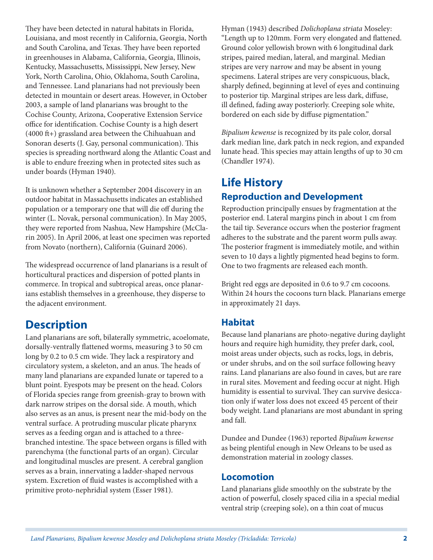They have been detected in natural habitats in Florida, Louisiana, and most recently in California, Georgia, North and South Carolina, and Texas. They have been reported in greenhouses in Alabama, California, Georgia, Illinois, Kentucky, Massachusetts, Mississippi, New Jersey, New York, North Carolina, Ohio, Oklahoma, South Carolina, and Tennessee. Land planarians had not previously been detected in mountain or desert areas. However, in October 2003, a sample of land planarians was brought to the Cochise County, Arizona, Cooperative Extension Service office for identification. Cochise County is a high desert (4000 ft+) grassland area between the Chihuahuan and Sonoran deserts (J. Gay, personal communication). This species is spreading northward along the Atlantic Coast and is able to endure freezing when in protected sites such as under boards (Hyman 1940).

It is unknown whether a September 2004 discovery in an outdoor habitat in Massachusetts indicates an established population or a temporary one that will die off during the winter (L. Novak, personal communication). In May 2005, they were reported from Nashua, New Hampshire (McClarin 2005). In April 2006, at least one specimen was reported from Novato (northern), California (Guinard 2006).

The widespread occurrence of land planarians is a result of horticultural practices and dispersion of potted plants in commerce. In tropical and subtropical areas, once planarians establish themselves in a greenhouse, they disperse to the adjacent environment.

# **Description**

Land planarians are soft, bilaterally symmetric, acoelomate, dorsally-ventrally flattened worms, measuring 3 to 50 cm long by 0.2 to 0.5 cm wide. They lack a respiratory and circulatory system, a skeleton, and an anus. The heads of many land planarians are expanded lunate or tapered to a blunt point. Eyespots may be present on the head. Colors of Florida species range from greenish-gray to brown with dark narrow stripes on the dorsal side. A mouth, which also serves as an anus, is present near the mid-body on the ventral surface. A protruding muscular plicate pharynx serves as a feeding organ and is attached to a threebranched intestine. The space between organs is filled with parenchyma (the functional parts of an organ). Circular and longitudinal muscles are present. A cerebral ganglion serves as a brain, innervating a ladder-shaped nervous system. Excretion of fluid wastes is accomplished with a primitive proto-nephridial system (Esser 1981).

Hyman (1943) described *Dolichoplana striata* Moseley: "Length up to 120mm. Form very elongated and flattened. Ground color yellowish brown with 6 longitudinal dark stripes, paired median, lateral, and marginal. Median stripes are very narrow and may be absent in young specimens. Lateral stripes are very conspicuous, black, sharply defined, beginning at level of eyes and continuing to posterior tip. Marginal stripes are less dark, diffuse, ill defined, fading away posteriorly. Creeping sole white, bordered on each side by diffuse pigmentation."

*Bipalium kewense* is recognized by its pale color, dorsal dark median line, dark patch in neck region, and expanded lunate head. This species may attain lengths of up to 30 cm (Chandler 1974).

### **Life History Reproduction and Development**

Reproduction principally ensues by fragmentation at the posterior end. Lateral margins pinch in about 1 cm from the tail tip. Severance occurs when the posterior fragment adheres to the substrate and the parent worm pulls away. The posterior fragment is immediately motile, and within seven to 10 days a lightly pigmented head begins to form. One to two fragments are released each month.

Bright red eggs are deposited in 0.6 to 9.7 cm cocoons. Within 24 hours the cocoons turn black. Planarians emerge in approximately 21 days.

#### **Habitat**

Because land planarians are photo-negative during daylight hours and require high humidity, they prefer dark, cool, moist areas under objects, such as rocks, logs, in debris, or under shrubs, and on the soil surface following heavy rains. Land planarians are also found in caves, but are rare in rural sites. Movement and feeding occur at night. High humidity is essential to survival. They can survive desiccation only if water loss does not exceed 45 percent of their body weight. Land planarians are most abundant in spring and fall.

Dundee and Dundee (1963) reported *Bipalium kewense* as being plentiful enough in New Orleans to be used as demonstration material in zoology classes.

#### **Locomotion**

Land planarians glide smoothly on the substrate by the action of powerful, closely spaced cilia in a special medial ventral strip (creeping sole), on a thin coat of mucus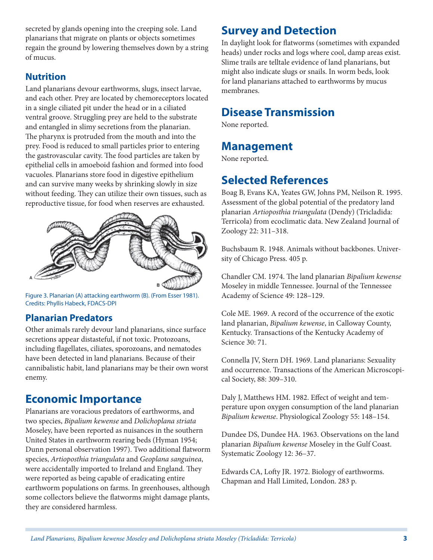secreted by glands opening into the creeping sole. Land planarians that migrate on plants or objects sometimes regain the ground by lowering themselves down by a string of mucus.

### **Nutrition**

Land planarians devour earthworms, slugs, insect larvae, and each other. Prey are located by chemoreceptors located in a single ciliated pit under the head or in a ciliated ventral groove. Struggling prey are held to the substrate and entangled in slimy secretions from the planarian. The pharynx is protruded from the mouth and into the prey. Food is reduced to small particles prior to entering the gastrovascular cavity. The food particles are taken by epithelial cells in amoeboid fashion and formed into food vacuoles. Planarians store food in digestive epithelium and can survive many weeks by shrinking slowly in size without feeding. They can utilize their own tissues, such as reproductive tissue, for food when reserves are exhausted.



Figure 3. Planarian (A) attacking earthworm (B). (From Esser 1981). Credits: Phyllis Habeck, FDACS-DPI

### **Planarian Predators**

Other animals rarely devour land planarians, since surface secretions appear distasteful, if not toxic. Protozoans, including flagellates, ciliates, sporozoans, and nematodes have been detected in land planarians. Because of their cannibalistic habit, land planarians may be their own worst enemy.

### **Economic Importance**

Planarians are voracious predators of earthworms, and two species, *Bipalium kewense* and *Dolichoplana striata* Moseley, have been reported as nuisances in the southern United States in earthworm rearing beds (Hyman 1954; Dunn personal observation 1997). Two additional flatworm species, *Artioposthia triangulata* and *Geoplana sanguinea*, were accidentally imported to Ireland and England. They were reported as being capable of eradicating entire earthworm populations on farms. In greenhouses, although some collectors believe the flatworms might damage plants, they are considered harmless.

### **Survey and Detection**

In daylight look for flatworms (sometimes with expanded heads) under rocks and logs where cool, damp areas exist. Slime trails are telltale evidence of land planarians, but might also indicate slugs or snails. In worm beds, look for land planarians attached to earthworms by mucus membranes.

# **Disease Transmission**

None reported.

### **Management**

None reported.

# **Selected References**

Boag B, Evans KA, Yeates GW, Johns PM, Neilson R. 1995. Assessment of the global potential of the predatory land planarian *Artioposthia triangulata* (Dendy) (Tricladida: Terricola) from ecoclimatic data. New Zealand Journal of Zoology 22: 311–318.

Buchsbaum R. 1948. Animals without backbones. University of Chicago Press. 405 p.

Chandler CM. 1974. The land planarian *Bipalium kewense* Moseley in middle Tennessee. Journal of the Tennessee Academy of Science 49: 128–129.

Cole ME. 1969. A record of the occurrence of the exotic land planarian, *Bipalium kewense*, in Calloway County, Kentucky. Transactions of the Kentucky Academy of Science 30: 71.

Connella JV, Stern DH. 1969. Land planarians: Sexuality and occurrence. Transactions of the American Microscopical Society, 88: 309–310.

Daly J, Matthews HM. 1982. Effect of weight and temperature upon oxygen consumption of the land planarian *Bipalium kewense*. Physiological Zoology 55: 148–154.

Dundee DS, Dundee HA. 1963. Observations on the land planarian *Bipalium kewense* Moseley in the Gulf Coast. Systematic Zoology 12: 36–37.

Edwards CA, Lofty JR. 1972. Biology of earthworms. Chapman and Hall Limited, London. 283 p.